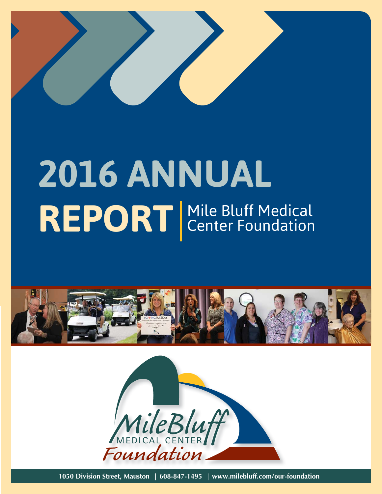

# **2016 ANNUAL REPORT** Mile Bluff Medical Center Foundation



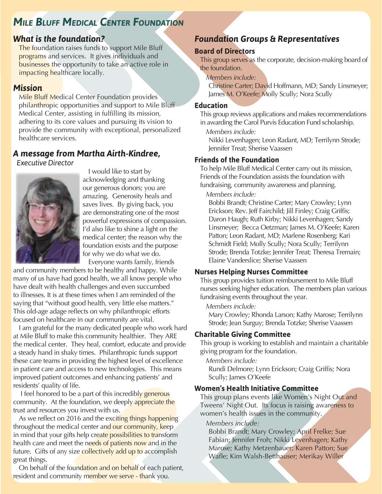# *MILE BLUFF MEDICAL CENTER FOUNDATION*

### *What is the foundation?*

The foundation raises funds to support Mile Bluff programs and services. It gives individuals and businesses the opportunity to take an active role in impacting healthcare locally.

#### *Mission*

Mile Bluff Medical Center Foundation provides philanthropic opportunities and support to Mile Bluff Medical Center, assisting in fulfilling its mission, adhering to its core values and pursuing its vision to provide the community with exceptional, personalized healthcare services.

# *A message from Martha Airth-Kindree,*

 *Executive Director*



I would like to start by acknowledging and thanking our generous donors; you are amazing. Generosity heals and saves lives. By giving back, you are demonstrating one of the most powerful expressions of compassion. I'd also like to shine a light on the medical center; the reason why the foundation exists and the purpose for why we do what we do. Everyone wants family, friends

and community members to be healthy and happy. While many of us have had good health, we all know people who have dealt with health challenges and even succumbed to illnesses. It is at these times when I am reminded of the saying that "without good health, very little else matters." This old-age adage reflects on why philanthropic efforts focused on healthcare in our community are vital.

I am grateful for the many dedicated people who work hard at Mile Bluff to make this community healthier. They ARE the medical center. They heal, comfort, educate and provide a steady hand in shaky times. Philanthropic funds support these care teams in providing the highest level of excellence in patient care and access to new technologies. This means improved patient outcomes and enhancing patients' and residents' quality of life.

I feel honored to be a part of this incredibly generous community. At the foundation, we deeply appreciate the trust and resources you invest with us.

As we reflect on 2016 and the exciting things happening throughout the medical center and our community, keep in mind that your gifts help create possibilities to transform health care and meet the needs of patients now and in the future. Gifts of any size collectively add up to accomplish great things.

On behalf of the foundation and on behalf of each patient, resident and community member we serve - thank you.

# *Foundation Groups & Representatives*

#### **Board of Directors**

This group serves as the corporate, decision-making board of the foundation.

*Members include:*

Christine Carter; David Hoffmann, MD; Sandy Linsmeyer; James M. O'Keefe; Molly Scully; Nora Scully

#### **Education**

This group reviews applications and makes recommendations in awarding the Carol Purvis Education Fund scholarship.

*Members include:*

Nikki Levenhagen; Leon Radant, MD; Terrilynn Strode; Jennifer Treat; Sherise Vaassen

#### **Friends of the Foundation**

To help Mile Bluff Medical Center carry out its mission, Friends of the Foundation assists the foundation with fundraising, community awareness and planning.

*Members include:*

Bobbi Brandt; Christine Carter; Mary Crowley; Lynn Erickson; Rev. Jeff Fairchild; Jill Finley; Craig Griffis; Daron Haugh; Ruth Kirby; Nikki Levenhagen; Sandy Linsmeyer; Becca Oetzman; James M. O'Keefe; Karen Patton; Leon Radant, MD; Marlene Rosenberg; Kari Schmidt Field; Molly Scully; Nora Scully; Terrilynn Strode; Brenda Totzke; Jennifer Treat; Theresa Tremain; Elaine Vanderslice; Sherise Vaassen

#### **Nurses Helping Nurses Committee**

This group provides tuition reimbursement to Mile Bluff nurses seeking higher education. The members plan various fundraising events throughout the year.

*Members include:*

Mary Crowley; Rhonda Larson; Kathy Marose; Terrilynn Strode; Jean Surguy; Brenda Totzke; Sherise Vaassen

#### **Charitable Giving Committee**

This group is working to establish and maintain a charitable giving program for the foundation.

#### *Members include:*

Rundi Delmore; Lynn Erickson; Craig Griffis; Nora Scully; James O'Keefe

#### **Women's Health Initiative Committee**

This group plans events like Women's Night Out and Tweens' Night Out. Its focus is raising awareness to women's health issues in the community.

#### *Members include:*

Bobbi Brandt; Mary Crowley; April Frelke; Sue Fabian; Jennifer Froh; Nikki Levenhagen; Kathy Marose; Kathy Metzenbauer; Karen Patton; Sue Wafle; Kim Walsh-Betthauser; Merikay Willer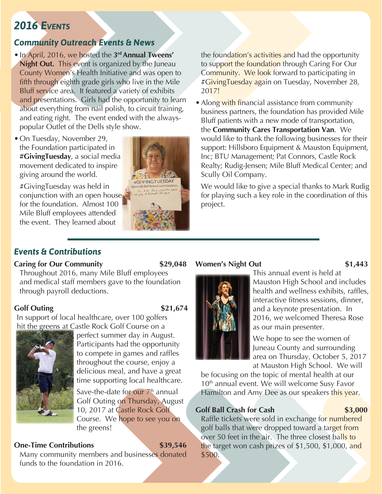# *2016 EVENTS*

# *Community Outreach Events & News*

- In April, 2016, we hosted the **3rd Annual Tweens' Night Out.** This event is organized by the Juneau County Women's Health Initiative and was open to fifth through eighth grade girls who live in the Mile Bluff service area. It featured a variety of exhibits and presentations. Girls had the opportunity to learn about everything from nail polish, to circuit training, and eating right. The event ended with the alwayspopular Outlet of the Dells style show.
- On Tuesday, November 29, the Foundation participated in **#GivingTuesday**, a social media movement dedicated to inspire giving around the world.

#GivingTuesday was held in conjunction with an open house for the foundation. Almost 100 Mile Bluff employees attended the event. They learned about



the foundation's activities and had the opportunity to support the foundation through Caring For Our Community. We look forward to participating in #GivingTuesday again on Tuesday, November 28, 2017!

• Along with financial assistance from community business partners, the foundation has provided Mile Bluff patients with a new mode of transportation, the **Community Cares Transportation Van**. We would like to thank the following businesses for their support: Hillsboro Equipment & Mauston Equipment, Inc; BTU Management; Pat Connors, Castle Rock Realty; Rudig-Jensen; Mile Bluff Medical Center; and Scully Oil Company.

We would like to give a special thanks to Mark Rudig for playing such a key role in the coordination of this project.

#### *Events & Contributions*

#### **Caring for Our Community \$29,048**

#### **Women's Night Out \$1,443**

Throughout 2016, many Mile Bluff employees and medical staff members gave to the foundation through payroll deductions.

#### **Golf Outing \$21,674**

In support of local healthcare, over 100 golfers



hit the greens at Castle Rock Golf Course on a g

perfect summer day in August. Participants had the opportunity to compete in games and raffles throughout the course, enjoy a delicious meal, and have a great time supporting local healthcare.

Save-the-date for our  $7<sup>th</sup>$  annual Golf Outing on Thursday, August 10, 2017 at Castle Rock Golf Course. We hope to see you on the greens!

#### **One-Time Contributions \$39,546**

Many community members and businesses donated funds to the foundation in 2016.

This annual event is held at Mauston High School and includes health and wellness exhibits, raffles, interactive fitness sessions, dinner, and a keynote presentation. In 2016, we welcomed Theresa Rose as our main presenter.

We hope to see the women of Juneau County and surrounding area on Thursday, October 5, 2017 at Mauston High School. We will

be focusing on the topic of mental health at our 10<sup>th</sup> annual event. We will welcome Susy Favor Hamilton and Amy Dee as our speakers this year.

#### **Golf Ball Crash for Cash 61 61 61 61 61 61 61 61 62 63,000**

Raffle tickets were sold in exchange for numbered golf balls that were dropped toward a target from over 50 feet in the air. The three closest balls to the target won cash prizes of \$1,500, \$1,000, and \$500.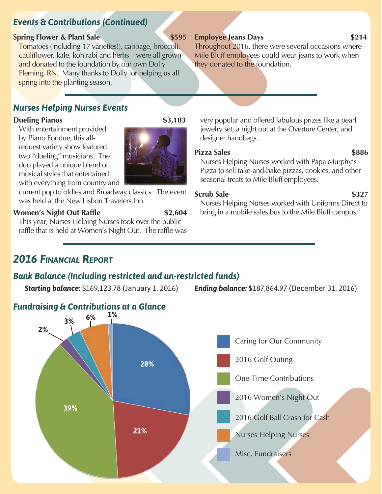# *Events & Contributions (Continued)*

#### **Spring Flower & Plant Sale \$595**

Tomatoes (including 17 varieties!), cabbage, broccoli, cauliflower, kale, kohlrabi and herbs – were all grown and donated to the foundation by our own Dolly Fleming, RN. Many thanks to Dolly for helping us all spring into the planting season.

# *Nurses Helping Nurses Events*

#### **Dueling Pianos** \$3,103

With entertainment provided by Piano Fondue, this allrequest variety show featured two "dueling" musicians. The duo played a unique blend of musical styles that entertained with everything from country and

current pop to oldies and Broadway classics. The event was held at the New Lisbon Travelers Inn.

### **Women's Night Out Raffle** \$2,604

This year, Nurses Helping Nurses took over the public raffle that is held at Women's Night Out. The raffle was

# *2016 FINANCIAL REPORT*

# *Bank Balance (Including restricted and un-restricted funds)*

*Starting balance:* \$169,123.78 (January 1, 2016) *Ending balance:* \$187,864.97 (December 31, 2016)



#### **Employee Jeans Days** \$214

Throughout 2016, there were several occasions where Mile Bluff employees could wear jeans to work when they donated to the foundation.

very popular and offered fabulous prizes like a pearl jewelry set, a night out at the Overture Center, and designer handbags.

Pizza Sales **\$886** Nurses Helping Nurses worked with Papa Murphy's Pizza to sell take-and-bake pizzas, cookies, and other seasonal treats to Mile Bluff employees.

bring in a mobile sales bus to the Mile Bluff campus.

#### **Scrub Sale** \$327

# Nurses Helping Nurses worked with Uniforms Direct to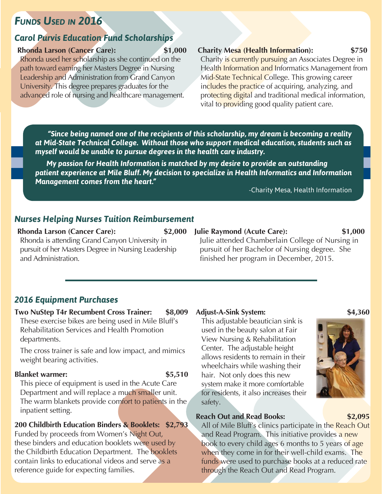# *FUNDS USED IN 2016*

#### *Carol Purvis Education Fund Scholarships*

#### **Rhonda Larson (Cancer Care): \$1,000**

Rhonda used her scholarship as she continued on the path toward earning her Masters Degree in Nursing Leadership and Administration from Grand Canyon University. This degree prepares graduates for the advanced role of nursing and healthcare management.

#### **Charity Mesa (Health Information): \$750**

Charity is currently pursuing an Associates Degree in Health Information and Informatics Management from Mid-State Technical College. This growing career includes the practice of acquiring, analyzing, and protecting digital and traditional medical information, vital to *providing good quality patient care.* 

 *"Since being named one of the recipients of this scholarship, my dream is becoming a reality at Mid-State Technical College. Without those who support medical education, students such as myself would be unable to pursue degrees in the health care industry.* 

*My passion for Health Information is matched by my desire to provide an outstanding patient experience at Mile Bluff. My decision to specialize in Health Informatics and Information Management comes from the heart."*

-Charity Mesa, Health Information

#### *Nurses Helping Nurses Tuition Reimbursement*

#### **Rhonda Larson (Cancer Care): \$2,000**

Rhonda is attending Grand Canyon University in pursuit of her Masters Degree in Nursing Leadership and Administration.

### **Julie Raymond (Acute Care): \$1,000**

Julie attended Chamberlain College of Nursing in pursuit of her Bachelor of Nursing degree. She finished her program in December, 2015.

#### *2016 Equipment Purchases*

#### **Two NuStep T4r Recumbent Cross Trainer: \$8,009**

These exercise bikes are being used in Mile Bluff's Rehabilitation Services and Health Promotion departments.

The cross trainer is safe and low impact, and mimics weight bearing activities.

#### **Blanket warmer:** \$5,510

This piece of equipment is used in the Acute Care Department and will replace a much smaller unit. The warm blankets provide comfort to patients in the inpatient setting.

**200 Childbirth Education Binders & Booklets: \$2,793** Funded by proceeds from Women's Night Out, these binders and education booklets were used by the Childbirth Education Department. The booklets contain links to educational videos and serve as a reference guide for expecting families.

#### **Adjust-A-Sink System: \$4,360**

This adjustable beautician sink is used in the beauty salon at Fair View Nursing & Rehabilitation Center. The adjustable height allows residents to remain in their wheelchairs while washing their hair. Not only does this new system make it more comfortable for residents, it also increases their safety.

#### **Reach Out and Read Books: \$2,095**

All of Mile Bluff's clinics participate in the Reach Out and Read Program. This initiative provides a new book to every child ages 6 months to 5 years of age when they come in for their well-child exams. The funds were used to purchase books at a reduced rate through the Reach Out and Read Program.

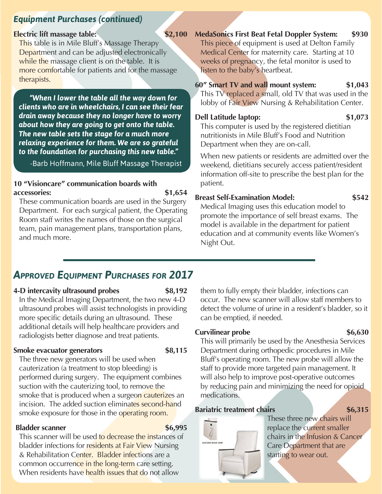# *Equipment Purchases (continued)*

#### **Electric lift massage table:** \$2,100

This table is in Mile Bluff's Massage Therapy Department and can be adjusted electronically while the massage client is on the table. It is more comfortable for patients and for the massage therapists.

*"When I lower the table all the way down for clients who are in wheelchairs, I can see their fear drain away because they no longer have to worry about how they are going to get onto the table. The new table sets the stage for a much more relaxing experience for them. We are so grateful to the foundation for purchasing this new table."* 

-Barb Hoffmann, Mile Bluff Massage Therapist

#### **10 "Visioncare" communication boards with accessories: \$1,654**

These communication boards are used in the Surgery Department. For each surgical patient, the Operating Room staff writes the names of those on the surgical team, pain management plans, transportation plans, and much more.

### **MedaSonics First Beat Fetal Doppler System: \$930**

This piece of equipment is used at Delton Family Medical Center for maternity care. Starting at 10 weeks of pregnancy, the fetal monitor is used to listen to the baby's heartbeat.

**60" Smart TV and wall mount system: \$1,043**

This TV replaced a small, old TV that was used in the lobby of Fair View Nursing & Rehabilitation Center.

#### **Dell Latitude laptop: \$1,073**

This computer is used by the registered dietitian nutritionists in Mile Bluff's Food and Nutrition Department when they are on-call.

When new patients or residents are admitted over the weekend, dietitians securely access patient/resident information off-site to prescribe the best plan for the patient.

### **Breast Self-Examination Model: \$542**

Medical Imaging uses this education model to promote the importance of self breast exams. The model is available in the department for patient education and at community events like Women's Night Out.

# *APPROVED EQUIPMENT PURCHASES FOR 2017*

### **4-D intercavity ultrasound probes \$8,192**

In the Medical Imaging Department, the two new 4-D ultrasound probes will assist technologists in providing more specific details during an ultrasound. These additional details will help healthcare providers and radiologists better diagnose and treat patients.

### **Smoke evacuator generators** \$8,115

them to fully empty their bladder, infections can occur. The new scanner will allow staff members to detect the volume of urine in a resident's bladder, so it can be emptied, if needed.

The three new generators will be used when cauterization (a treatment to stop bleeding) is performed during surgery. The equipment combines suction with the cauterizing tool, to remove the smoke that is produced when a surgeon cauterizes an incision. The added suction eliminates second-hand smoke exposure for those in the operating room.

### **Bladder scanner** \$6,995

This scanner will be used to decrease the instances of bladder infections for residents at Fair View Nursing & Rehabilitation Center. Bladder infections are a common occurrence in the long-term care setting. When residents have health issues that do not allow

**Curvilinear probe** \$6,630 This will primarily be used by the Anesthesia Services Department during orthopedic procedures in Mile Bluff's operating room. The new probe will allow the staff to provide more targeted pain management. It will also help to improve post-operative outcomes by reducing pain and minimizing the need for opioid medications.

## **Bariatric treatment chairs 86,315**



These three new chairs will replace the current smaller chairs in the Infusion & Cancer Care Department that are starting to wear out.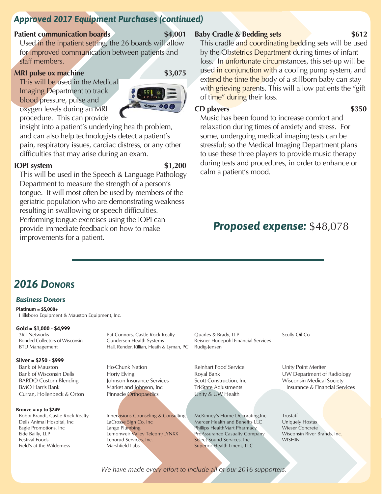# *Approved 2017 Equipment Purchases (continued)*

#### **Patient communication boards** \$4,001

Used in the inpatient setting, the 26 boards will allow for improved communication between patients and staff members.

#### **MRI pulse ox machine** \$3,075

This will be used in the Medical Imaging Department to track blood pressure, pulse and oxygen levels during an MRI procedure. This can provide



insight into a patient's underlying health problem, and can also help technologists detect a patient's pain, respiratory issues, cardiac distress, or any other difficulties that may arise during an exam.

#### **IOPI** system \$1,200

This will be used in the Speech & Language Pathology Department to measure the strength of a person's tongue. It will most often be used by members of the geriatric population who are demonstrating weakness resulting in swallowing or speech difficulties. Performing tongue exercises using the IOPI can provide immediate feedback on how to make improvements for a patient.

#### **Baby Cradle & Bedding sets \$612**

This cradle and coordinating bedding sets will be used by the Obstetrics Department during times of infant loss. In unfortunate circumstances, this set-up will be used in conjunction with a cooling pump system, and extend the time the body of a stillborn baby can stay with grieving parents. This will allow patients the "gift" of time" during their loss.

#### **CD players** \$350

Music has been found to increase comfort and relaxation during times of anxiety and stress. For some, undergoing medical imaging tests can be stressful; so the Medical Imaging Department plans to use these three players to provide music therapy during tests and procedures, in order to enhance or calm a patient's mood.

# *Proposed expense:* \$48,078

# *2016 DONORS*

#### *Business Donors*

**Platinum = \$5,000+** Hillsboro Equipment & Mauston Equipment, Inc.

#### **Gold = \$1,000 - \$4,999**

3RT Networks Bonded Collectors of Wisconsin BTU Management

#### **Silver = \$250 - \$999**

Bank of Mauston Bank of Wisconsin Dells BARDO Custom Blending BMO Harris Bank Curran, Hollenbeck & Orton

#### **Bronze = up to \$249**

Bobbi Brandt, Castle Rock Realty Dells Animal Hospital, Inc Eagle Promotions, Inc Eide Bailly, LLP Festival Foods Field's at the Wilderness

Pat Connors, Castle Rock Realty Gundersen Health Systems Hall, Render, Killian, Heath & Lyman, PC

Ho-Chunk Nation Horty Elving Johnson Insurance Services Market and Johnson, Inc Pinnacle Orthopaedics

Innervisions Counseling & Consulting LaCrosse Sign Co, Inc Lange Plumbing Lemonweir Valley Telcom/LYNXX Lenorud Services, Inc. Marshfield Labs

Quarles & Brady, LLP Reisner Hudepohl Financial Services Rudig-Jensen

Reinhart Food Service Royal Bank Scott Construction, Inc. Tri-State Adjustments Unity & UW Health

McKinney's Home Decorating, Inc. Mercer Health and Benefits LLC Phillips HealthMart Pharmacy ProAssurance Casualty Company Select Sound Services, Inc Superior Health Linens, LLC

Scully Oil Co

Unity Point Meriter UW Department of Radiology Wisconsin Medical Society Insurance & Financial Services

Trustaff Uniquely Hostas Wieser Concrete Wisconsin River Brands, Inc. WISHIN

*We have made every effort to include all of our 2016 supporters.*